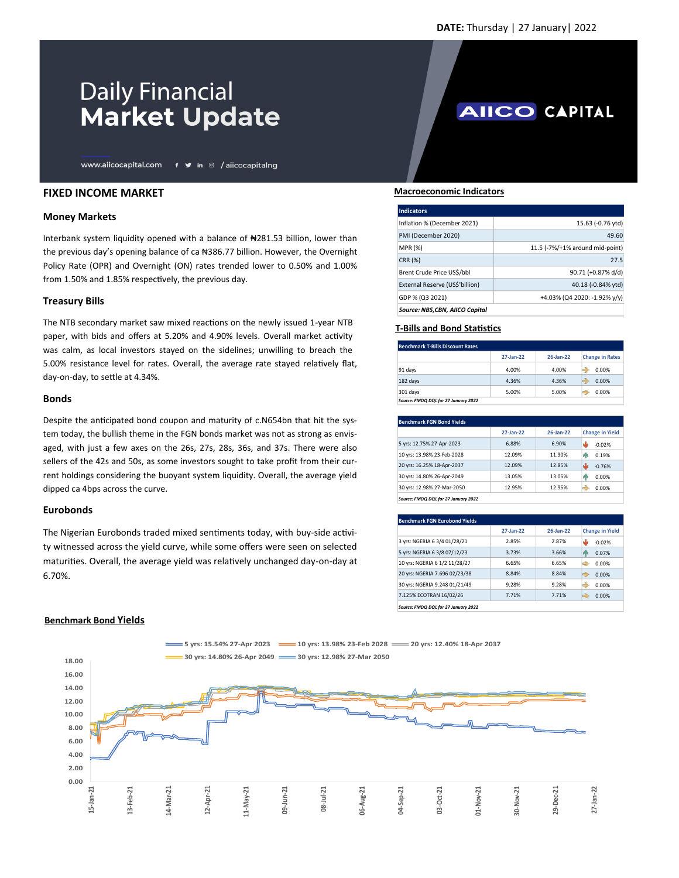# **Daily Financial Market Update**

www.aiicocapital.com f y in @ /aiicocapitalng

## **FIXED INCOME MARKET**

### **Money Markets**

Interbank system liquidity opened with a balance of ₦281.53 billion, lower than the previous day's opening balance of ca #386.77 billion. However, the Overnight Policy Rate (OPR) and Overnight (ON) rates trended lower to 0.50% and 1.00% from 1.50% and 1.85% respectively, the previous day.

### **Treasury Bills**

The NTB secondary market saw mixed reactions on the newly issued 1-year NTB paper, with bids and offers at 5.20% and 4.90% levels. Overall market activity was calm, as local investors stayed on the sidelines; unwilling to breach the 5.00% resistance level for rates. Overall, the average rate stayed relatively flat, day-on-day, to settle at 4.34%.

### **Bonds**

Despite the anticipated bond coupon and maturity of c.N654bn that hit the system today, the bullish theme in the FGN bonds market was not as strong as envisaged, with just a few axes on the 26s, 27s, 28s, 36s, and 37s. There were also sellers of the 42s and 50s, as some investors sought to take profit from their current holdings considering the buoyant system liquidity. Overall, the average yield dipped ca 4bps across the curve.

## **Eurobonds**

The Nigerian Eurobonds traded mixed sentiments today, with buy-side activity witnessed across the yield curve, while some offers were seen on selected maturities. Overall, the average yield was relatively unchanged day-on-day at 6.70%.

## **Benchmark Bond Yields**

## **0.00 2.00 4.00 6.00 8.00 10.00 12.00 14.00 16.00 18.00** 15-Jan-21<br>13-Feb-21<br>14-Mar-21<br>11-May-21<br>08-Jul-21<br>06-Aug-21<br>06-Aug-21<br>03-Apr-21<br>03-Nov-21<br>27-Jan-22 **5 yrs: 15.54% 27-Apr 2023 10 yrs: 13.98% 23-Feb 2028 20 yrs: 12.40% 18-Apr 2037 30 yrs: 14.80% 26-Apr 2049 30 yrs: 12.98% 27-Mar 2050**

# **AIICO CAPITAL**

#### **Macroeconomic Indicators**

| <b>Indicators</b>               |                                 |
|---------------------------------|---------------------------------|
| Inflation % (December 2021)     | 15.63 (-0.76 ytd)               |
| PMI (December 2020)             | 49.60                           |
| MPR (%)                         | 11.5 (-7%/+1% around mid-point) |
| CRR (%)                         | 27.5                            |
| Brent Crude Price US\$/bbl      | 90.71 (+0.87% d/d)              |
| External Reserve (US\$'billion) | 40.18 (-0.84% ytd)              |
| GDP % (Q3 2021)                 | +4.03% (Q4 2020: -1.92% y/y)    |
| Source: NBS,CBN, AIICO Capital  |                                 |

## **T-Bills and Bond Statistics**

| <b>Benchmark T-Bills Discount Rates</b> |       |       |                        |  |
|-----------------------------------------|-------|-------|------------------------|--|
| $27$ -Jan- $22$<br>26-Jan-22            |       |       | <b>Change in Rates</b> |  |
| 91 days                                 | 4.00% | 4.00% | 0.00%<br>-3            |  |
| 182 days                                | 4.36% | 4.36% | Ð<br>0.00%             |  |
| 301 days                                | 5.00% | 5.00% | 0.00%<br>e.            |  |
| Source: FMDQ DQL for 27 January 2022    |       |       |                        |  |

|                            | 27-Jan-22 | 26-Jan-22 | <b>Change in Yield</b> |
|----------------------------|-----------|-----------|------------------------|
| 5 yrs: 12.75% 27-Apr-2023  | 6.88%     | 6.90%     | ۸Ŀ<br>$-0.02%$         |
| 10 yrs: 13.98% 23-Feb-2028 | 12.09%    | 11.90%    | 0.19%<br>ЙΝ            |
| 20 yrs: 16.25% 18-Apr-2037 | 12.09%    | 12.85%    | ىلل<br>$-0.76%$        |
| 30 yrs: 14.80% 26-Apr-2049 | 13.05%    | 13.05%    | 0.00%<br>ЙΝ            |
| 30 yrs: 12.98% 27-Mar-2050 | 12.95%    | 12.95%    | Ð<br>0.00%             |

| <b>Benchmark FGN Eurobond Yields</b>               |           |           |                        |  |  |
|----------------------------------------------------|-----------|-----------|------------------------|--|--|
|                                                    | 27-Jan-22 | 26-Jan-22 | <b>Change in Yield</b> |  |  |
| 3 yrs: NGERIA 6 3/4 01/28/21                       | 2.85%     | 2.87%     | رال<br>$-0.02%$        |  |  |
| 5 yrs: NGERIA 6 3/8 07/12/23                       | 3.73%     | 3.66%     | 0.07%<br>ЙΝ            |  |  |
| 10 yrs: NGERIA 6 1/2 11/28/27                      | 6.65%     | 6.65%     | 0.00%<br>Ð             |  |  |
| 20 yrs: NGERIA 7.696 02/23/38                      | 8.84%     | 8.84%     | ♣<br>0.00%             |  |  |
| 30 vrs: NGERIA 9.248 01/21/49                      | 9.28%     | 9.28%     | Ð<br>0.00%             |  |  |
| 7.125% ECOTRAN 16/02/26                            | 7.71%     | 7.71%     | ⊰<br>0.00%             |  |  |
| $\cdots \cdots \cdots \cdots \cdots \cdots \cdots$ |           |           |                        |  |  |

*Source: FMDQ DQL for 27 January 2022*